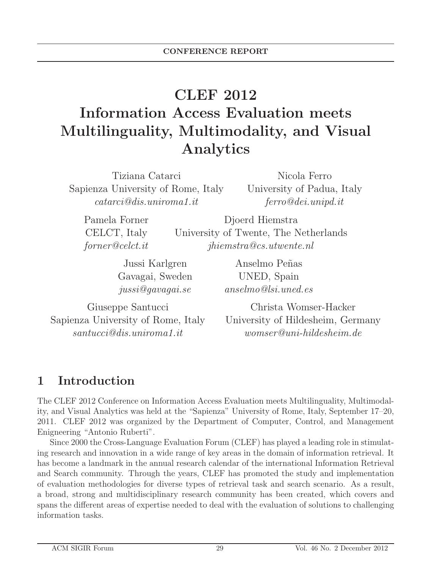# **CLEF 2012 Information Access Evaluation meets Multilinguality, Multimodality, and Visual Analytics**

Tiziana Catarci Sapienza University of Rome, Italy catarci@dis.uniroma1.it

Nicola Ferro University of Padua, Italy ferro@dei.unipd.it

Pamela Forner CELCT, Italy forner@celct.it

Djoerd Hiemstra University of Twente, The Netherlands jhiemstra@cs.utwente.nl

Jussi Karlgren Gavagai, Sweden jussi@gavagai.se

Giuseppe Santucci Sapienza University of Rome, Italy santucci@dis.uniroma1.it

Anselmo Peñas UNED, Spain anselmo@lsi.uned.es

Christa Womser-Hacker University of Hildesheim, Germany womser@uni-hildesheim.de

## **1 Introduction**

The CLEF 2012 Conference on Information Access Evaluation meets Multilinguality, Multimodality, and Visual Analytics was held at the "Sapienza" University of Rome, Italy, September 17–20, 2011. CLEF 2012 was organized by the Department of Computer, Control, and Management Enigneering "Antonio Ruberti".

Since 2000 the Cross-Language Evaluation Forum (CLEF) has played a leading role in stimulating research and innovation in a wide range of key areas in the domain of information retrieval. It has become a landmark in the annual research calendar of the international Information Retrieval and Search community. Through the years, CLEF has promoted the study and implementation of evaluation methodologies for diverse types of retrieval task and search scenario. As a result, a broad, strong and multidisciplinary research community has been created, which covers and spans the different areas of expertise needed to deal with the evaluation of solutions to challenging information tasks.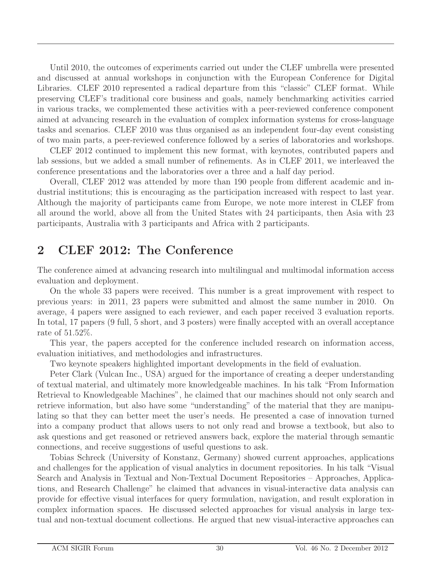Until 2010, the outcomes of experiments carried out under the CLEF umbrella were presented and discussed at annual workshops in conjunction with the European Conference for Digital Libraries. CLEF 2010 represented a radical departure from this "classic" CLEF format. While preserving CLEF's traditional core business and goals, namely benchmarking activities carried in various tracks, we complemented these activities with a peer-reviewed conference component aimed at advancing research in the evaluation of complex information systems for cross-language tasks and scenarios. CLEF 2010 was thus organised as an independent four-day event consisting of two main parts, a peer-reviewed conference followed by a series of laboratories and workshops.

CLEF 2012 continued to implement this new format, with keynotes, contributed papers and lab sessions, but we added a small number of refinements. As in CLEF 2011, we interleaved the conference presentations and the laboratories over a three and a half day period.

Overall, CLEF 2012 was attended by more than 190 people from different academic and industrial institutions; this is encouraging as the participation increased with respect to last year. Although the majority of participants came from Europe, we note more interest in CLEF from all around the world, above all from the United States with 24 participants, then Asia with 23 participants, Australia with 3 participants and Africa with 2 participants.

#### **2 CLEF 2012: The Conference**

The conference aimed at advancing research into multilingual and multimodal information access evaluation and deployment.

On the whole 33 papers were received. This number is a great improvement with respect to previous years: in 2011, 23 papers were submitted and almost the same number in 2010. On average, 4 papers were assigned to each reviewer, and each paper received 3 evaluation reports. In total, 17 papers (9 full, 5 short, and 3 posters) were finally accepted with an overall acceptance rate of 51.52%.

This year, the papers accepted for the conference included research on information access, evaluation initiatives, and methodologies and infrastructures.

Two keynote speakers highlighted important developments in the field of evaluation.

Peter Clark (Vulcan Inc., USA) argued for the importance of creating a deeper understanding of textual material, and ultimately more knowledgeable machines. In his talk "From Information Retrieval to Knowledgeable Machines", he claimed that our machines should not only search and retrieve information, but also have some "understanding" of the material that they are manipulating so that they can better meet the user's needs. He presented a case of innovation turned into a company product that allows users to not only read and browse a textbook, but also to ask questions and get reasoned or retrieved answers back, explore the material through semantic connections, and receive suggestions of useful questions to ask.

Tobias Schreck (University of Konstanz, Germany) showed current approaches, applications and challenges for the application of visual analytics in document repositories. In his talk "Visual Search and Analysis in Textual and Non-Textual Document Repositories – Approaches, Applications, and Research Challenge" he claimed that advances in visual-interactive data analysis can provide for effective visual interfaces for query formulation, navigation, and result exploration in complex information spaces. He discussed selected approaches for visual analysis in large textual and non-textual document collections. He argued that new visual-interactive approaches can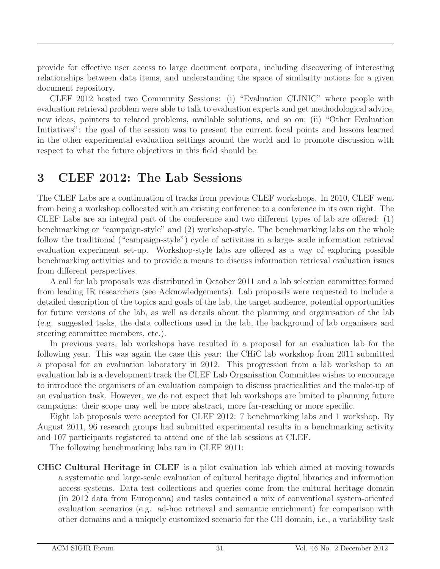provide for effective user access to large document corpora, including discovering of interesting relationships between data items, and understanding the space of similarity notions for a given document repository.

CLEF 2012 hosted two Community Sessions: (i) "Evaluation CLINIC" where people with evaluation retrieval problem were able to talk to evaluation experts and get methodological advice, new ideas, pointers to related problems, available solutions, and so on; (ii) "Other Evaluation Initiatives": the goal of the session was to present the current focal points and lessons learned in the other experimental evaluation settings around the world and to promote discussion with respect to what the future objectives in this field should be.

### **3 CLEF 2012: The Lab Sessions**

The CLEF Labs are a continuation of tracks from previous CLEF workshops. In 2010, CLEF went from being a workshop collocated with an existing conference to a conference in its own right. The CLEF Labs are an integral part of the conference and two different types of lab are offered: (1) benchmarking or "campaign-style" and (2) workshop-style. The benchmarking labs on the whole follow the traditional ("campaign-style") cycle of activities in a large- scale information retrieval evaluation experiment set-up. Workshop-style labs are offered as a way of exploring possible benchmarking activities and to provide a means to discuss information retrieval evaluation issues from different perspectives.

A call for lab proposals was distributed in October 2011 and a lab selection committee formed from leading IR researchers (see Acknowledgements). Lab proposals were requested to include a detailed description of the topics and goals of the lab, the target audience, potential opportunities for future versions of the lab, as well as details about the planning and organisation of the lab (e.g. suggested tasks, the data collections used in the lab, the background of lab organisers and steering committee members, etc.).

In previous years, lab workshops have resulted in a proposal for an evaluation lab for the following year. This was again the case this year: the CHiC lab workshop from 2011 submitted a proposal for an evaluation laboratory in 2012. This progression from a lab workshop to an evaluation lab is a development track the CLEF Lab Organisation Committee wishes to encourage to introduce the organisers of an evaluation campaign to discuss practicalities and the make-up of an evaluation task. However, we do not expect that lab workshops are limited to planning future campaigns: their scope may well be more abstract, more far-reaching or more specific.

Eight lab proposals were accepted for CLEF 2012: 7 benchmarking labs and 1 workshop. By August 2011, 96 research groups had submitted experimental results in a benchmarking activity and 107 participants registered to attend one of the lab sessions at CLEF.

The following benchmarking labs ran in CLEF 2011:

**CHiC Cultural Heritage in CLEF** is a pilot evaluation lab which aimed at moving towards a systematic and large-scale evaluation of cultural heritage digital libraries and information access systems. Data test collections and queries come from the cultural heritage domain (in 2012 data from Europeana) and tasks contained a mix of conventional system-oriented evaluation scenarios (e.g. ad-hoc retrieval and semantic enrichment) for comparison with other domains and a uniquely customized scenario for the CH domain, i.e., a variability task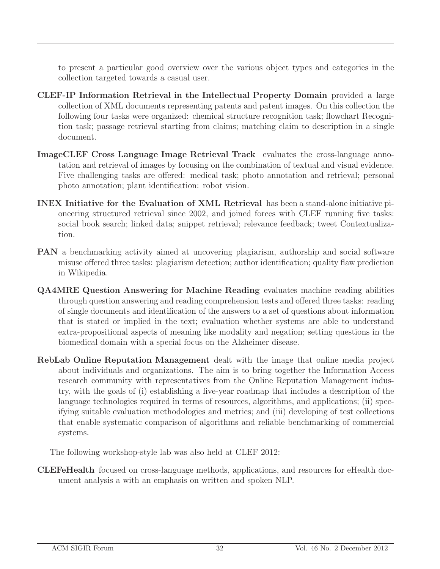to present a particular good overview over the various object types and categories in the collection targeted towards a casual user.

- **CLEF-IP Information Retrieval in the Intellectual Property Domain** provided a large collection of XML documents representing patents and patent images. On this collection the following four tasks were organized: chemical structure recognition task; flowchart Recognition task; passage retrieval starting from claims; matching claim to description in a single document.
- **ImageCLEF Cross Language Image Retrieval Track** evaluates the cross-language annotation and retrieval of images by focusing on the combination of textual and visual evidence. Five challenging tasks are offered: medical task; photo annotation and retrieval; personal photo annotation; plant identification: robot vision.
- **INEX Initiative for the Evaluation of XML Retrieval** has been a stand-alone initiative pioneering structured retrieval since 2002, and joined forces with CLEF running five tasks: social book search; linked data; snippet retrieval; relevance feedback; tweet Contextualization.
- **PAN** a benchmarking activity aimed at uncovering plagiarism, authorship and social software misuse offered three tasks: plagiarism detection; author identification; quality flaw prediction in Wikipedia.
- **QA4MRE Question Answering for Machine Reading** evaluates machine reading abilities through question answering and reading comprehension tests and offered three tasks: reading of single documents and identification of the answers to a set of questions about information that is stated or implied in the text; evaluation whether systems are able to understand extra-propositional aspects of meaning like modality and negation; setting questions in the biomedical domain with a special focus on the Alzheimer disease.
- **RebLab Online Reputation Management** dealt with the image that online media project about individuals and organizations. The aim is to bring together the Information Access research community with representatives from the Online Reputation Management industry, with the goals of (i) establishing a five-year roadmap that includes a description of the language technologies required in terms of resources, algorithms, and applications; (ii) specifying suitable evaluation methodologies and metrics; and (iii) developing of test collections that enable systematic comparison of algorithms and reliable benchmarking of commercial systems.

The following workshop-style lab was also held at CLEF 2012:

**CLEFeHealth** focused on cross-language methods, applications, and resources for eHealth document analysis a with an emphasis on written and spoken NLP.